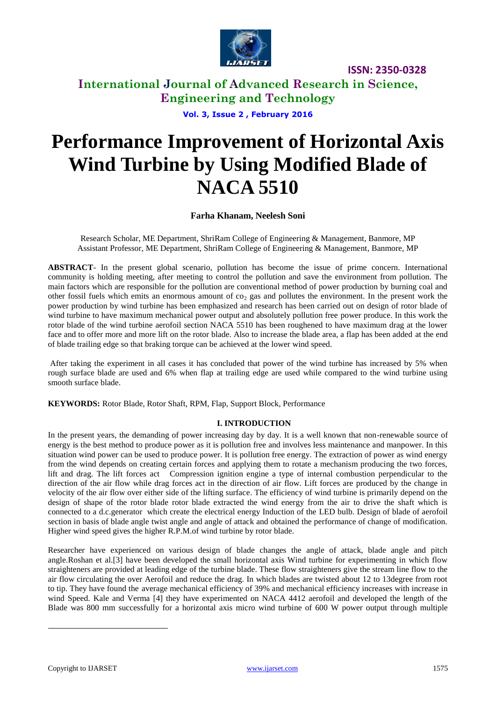

**International Journal of Advanced Research in Science, Engineering and Technology**

**Vol. 3, Issue 2 , February 2016**

# **Performance Improvement of Horizontal Axis Wind Turbine by Using Modified Blade of NACA 5510**

### **Farha Khanam, Neelesh Soni**

Research Scholar, ME Department, ShriRam College of Engineering & Management, Banmore, MP Assistant Professor, ME Department, ShriRam College of Engineering & Management, Banmore, MP

**ABSTRACT**- In the present global scenario, pollution has become the issue of prime concern. International community is holding meeting, after meeting to control the pollution and save the environment from pollution. The main factors which are responsible for the pollution are conventional method of power production by burning coal and other fossil fuels which emits an enormous amount of  $\cos_2$  gas and pollutes the environment. In the present work the power production by wind turbine has been emphasized and research has been carried out on design of rotor blade of wind turbine to have maximum mechanical power output and absolutely pollution free power produce. In this work the rotor blade of the wind turbine aerofoil section NACA 5510 has been roughened to have maximum drag at the lower face and to offer more and more lift on the rotor blade. Also to increase the blade area, a flap has been added at the end of blade trailing edge so that braking torque can be achieved at the lower wind speed.

After taking the experiment in all cases it has concluded that power of the wind turbine has increased by 5% when rough surface blade are used and 6% when flap at trailing edge are used while compared to the wind turbine using smooth surface blade.

**KEYWORDS:** Rotor Blade, Rotor Shaft, RPM, Flap, Support Block, Performance

### **I. INTRODUCTION<sup>1</sup>**

In the present years, the demanding of power increasing day by day. It is a well known that non-renewable source of energy is the best method to produce power as it is pollution free and involves less maintenance and manpower. In this situation wind power can be used to produce power. It is pollution free energy. The extraction of power as wind energy from the wind depends on creating certain forces and applying them to rotate a mechanism producing the two forces, lift and drag. The lift forces act Compression ignition engine a type of internal combustion perpendicular to the direction of the air flow while drag forces act in the direction of air flow. Lift forces are produced by the change in velocity of the air flow over either side of the lifting surface. The efficiency of wind turbine is primarily depend on the design of shape of the rotor blade rotor blade extracted the wind energy from the air to drive the shaft which is connected to a d.c.generator which create the electrical energy Induction of the LED bulb. Design of blade of aerofoil section in basis of blade angle twist angle and angle of attack and obtained the performance of change of modification. Higher wind speed gives the higher R.P.M.of wind turbine by rotor blade.

Researcher have experienced on various design of blade changes the angle of attack, blade angle and pitch angle.Roshan et al.[3] have been developed the small horizontal axis Wind turbine for experimenting in which flow straighteners are provided at leading edge of the turbine blade. These flow straighteners give the stream line flow to the air flow circulating the over Aerofoil and reduce the drag. In which blades are twisted about 12 to 13degree from root to tip. They have found the average mechanical efficiency of 39% and mechanical efficiency increases with increase in wind Speed. Kale and Verma [4] they have experimented on NACA 4412 aerofoil and developed the length of the Blade was 800 mm successfully for a horizontal axis micro wind turbine of 600 W power output through multiple

 $\overline{a}$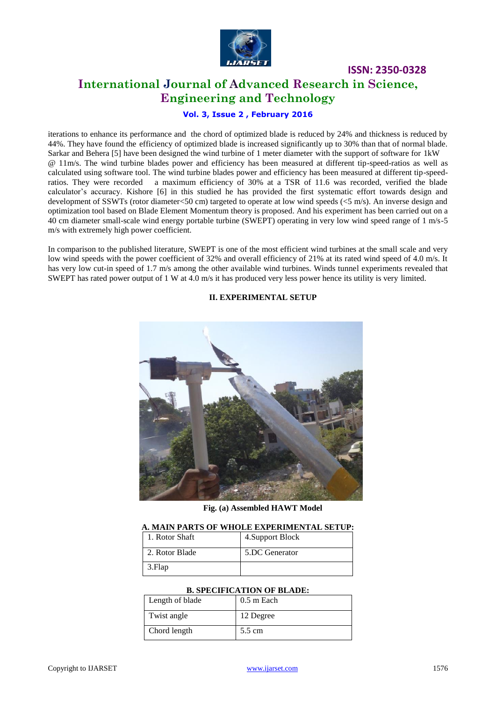

# **International Journal of Advanced Research in Science, Engineering and Technology**

**ISSN: 2350-0328**

### **Vol. 3, Issue 2 , February 2016**

iterations to enhance its performance and the chord of optimized blade is reduced by 24% and thickness is reduced by 44%. They have found the efficiency of optimized blade is increased significantly up to 30% than that of normal blade. Sarkar and Behera [5] have been designed the wind turbine of 1 meter diameter with the support of software for 1kW @ 11m/s. The wind turbine blades power and efficiency has been measured at different tip-speed-ratios as well as calculated using software tool. The wind turbine blades power and efficiency has been measured at different tip-speedratios. They were recorded a maximum efficiency of 30% at a TSR of 11.6 was recorded, verified the blade calculator's accuracy. Kishore [6] in this studied he has provided the first systematic effort towards design and development of SSWTs (rotor diameter<50 cm) targeted to operate at low wind speeds (<5 m/s). An inverse design and optimization tool based on Blade Element Momentum theory is proposed. And his experiment has been carried out on a 40 cm diameter small-scale wind energy portable turbine (SWEPT) operating in very low wind speed range of 1 m/s-5 m/s with extremely high power coefficient.

In comparison to the published literature, SWEPT is one of the most efficient wind turbines at the small scale and very low wind speeds with the power coefficient of 32% and overall efficiency of 21% at its rated wind speed of 4.0 m/s. It has very low cut-in speed of 1.7 m/s among the other available wind turbines. Winds tunnel experiments revealed that SWEPT has rated power output of 1 W at 4.0 m/s it has produced very less power hence its utility is very limited.

#### **II. EXPERIMENTAL SETUP**



**Fig. (a) Assembled HAWT Model**

|                  | A. MAIN PARTS OF WHOLE EXPERIMENTAL SETUP: |
|------------------|--------------------------------------------|
| l 1. Rotor Shaft | 4. Support Block                           |
| 2. Rotor Blade   | 5.DC Generator                             |
| $\vert$ 3. Flap  |                                            |

#### **A. MAIN PARTS OF WHOLE EXPERIMENTAL SETUP:**

#### **B. SPECIFICATION OF BLADE:**

| Length of blade | $0.5$ m Each |
|-----------------|--------------|
| Twist angle     | 12 Degree    |
| Chord length    | 5.5 cm       |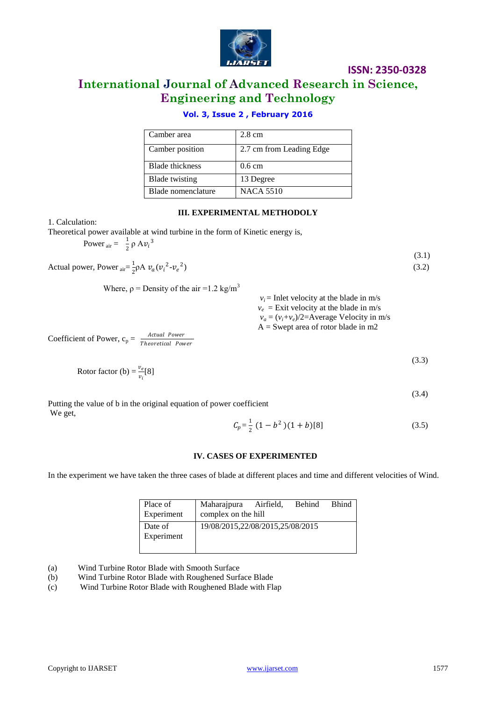

(3.1)

(3.4)

# **International Journal of Advanced Research in Science, Engineering and Technology**

# **Vol. 3, Issue 2 , February 2016**

| Camber area           | $2.8 \text{ cm}$         |
|-----------------------|--------------------------|
| Camber position       | 2.7 cm from Leading Edge |
| Blade thickness       | $0.6 \text{ cm}$         |
| <b>Blade</b> twisting | 13 Degree                |
| Blade nomenclature    | <b>NACA 5510</b>         |

#### **III. EXPERIMENTAL METHODOLY**

1. Calculation:

Theoretical power available at wind turbine in the form of Kinetic energy is, Power  $_{\text{air}} = \frac{1}{2}$ 

 $\frac{1}{2}$   $\rho$  A $v_i^3$ 

Actual power, Power  $_{air} = \frac{1}{2}$  $\frac{1}{2} \rho A v_a (v_i^2 - v_e^2)$  $)$  (3.2)

Where, 
$$
\rho
$$
 = Density of the air =1.2 kg/m<sup>3</sup>

| $v_i$ = Inlet velocity at the blade in m/s      |
|-------------------------------------------------|
| $v_e$ = Exit velocity at the blade in m/s       |
| $v_a = (v_i + v_e)/2 =$ Average Velocity in m/s |
| $A =$ Swept area of rotor blade in m2           |

Coefficient of Power, 
$$
c_p = \frac{Actual Power}{Theoretical Power}
$$

$$
\text{Rotor factor (b)} = \frac{v_e}{v_i} [8] \tag{3.3}
$$

Putting the value of b in the original equation of power coefficient We get,

$$
C_p = \frac{1}{2} (1 - b^2)(1 + b)[8]
$$
 (3.5)

#### **IV. CASES OF EXPERIMENTED**

In the experiment we have taken the three cases of blade at different places and time and different velocities of Wind.

| Place of<br>Experiment | Maharajpura Airfield,<br>complex on the hill | Behind | <b>Bhind</b> |
|------------------------|----------------------------------------------|--------|--------------|
| Date of<br>Experiment  | 19/08/2015,22/08/2015,25/08/2015             |        |              |

(a) Wind Turbine Rotor Blade with Smooth Surface

(b) Wind Turbine Rotor Blade with Roughened Surface Blade

(c) Wind Turbine Rotor Blade with Roughened Blade with Flap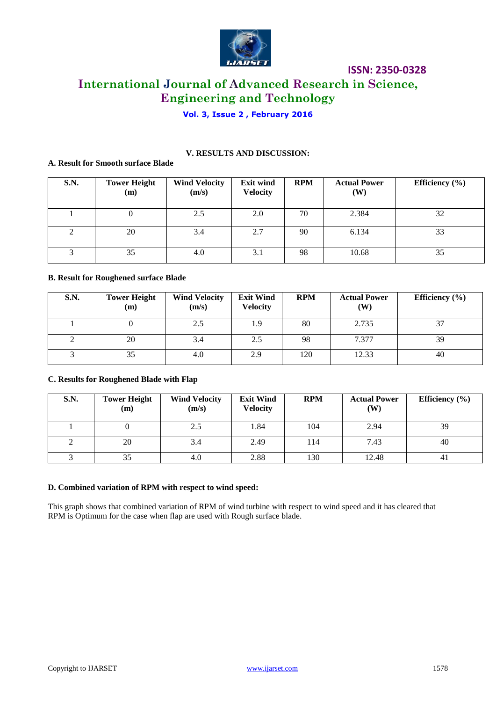

# **International Journal of Advanced Research in Science, Engineering and Technology**

# **Vol. 3, Issue 2 , February 2016**

**V. RESULTS AND DISCUSSION:**

### **A. Result for Smooth surface Blade**

| <b>S.N.</b> | <b>Tower Height</b><br>(m) | <b>Wind Velocity</b><br>(m/s) | <b>Exit wind</b><br><b>Velocity</b> | <b>RPM</b> | <b>Actual Power</b><br><b>(W)</b> | Efficiency $(\% )$ |
|-------------|----------------------------|-------------------------------|-------------------------------------|------------|-----------------------------------|--------------------|
|             | v                          | 2.5                           | 2.0                                 | 70         | 2.384                             | 32                 |
| ◠           | 20                         | 3.4                           | 2.7                                 | 90         | 6.134                             | 33                 |
|             | 35                         | 4.0                           | 3.1                                 | 98         | 10.68                             | 35                 |

#### **B. Result for Roughened surface Blade**

| <b>S.N.</b> | <b>Tower Height</b><br>(m) | <b>Wind Velocity</b><br>(m/s) | <b>Exit Wind</b><br><b>Velocity</b> | <b>RPM</b> | <b>Actual Power</b><br>(W) | Efficiency $(\% )$ |
|-------------|----------------------------|-------------------------------|-------------------------------------|------------|----------------------------|--------------------|
|             |                            | 2.5                           | 1.9                                 | 80         | 2.735                      | $\sim$             |
|             | 20                         | 3.4                           | 2.5                                 | 98         | 7.377                      | 39                 |
|             | 35                         | 4.0                           | 2.9                                 | 120        | 12.33                      | 40                 |

#### **C. Results for Roughened Blade with Flap**

| <b>S.N.</b> | <b>Tower Height</b><br>(m) | <b>Wind Velocity</b><br>(m/s) | <b>Exit Wind</b><br><b>Velocity</b> | <b>RPM</b> | <b>Actual Power</b><br>$(\mathbf{W})$ | Efficiency $(\% )$ |
|-------------|----------------------------|-------------------------------|-------------------------------------|------------|---------------------------------------|--------------------|
|             |                            | 2.5                           | 1.84                                | 104        | 2.94                                  | 39                 |
|             | 20                         | 3.4                           | 2.49                                | 114        | 7.43                                  | 40                 |
|             |                            | 4.0                           | 2.88                                | 130        | 12.48                                 | 41                 |

#### **D. Combined variation of RPM with respect to wind speed:**

This graph shows that combined variation of RPM of wind turbine with respect to wind speed and it has cleared that RPM is Optimum for the case when flap are used with Rough surface blade.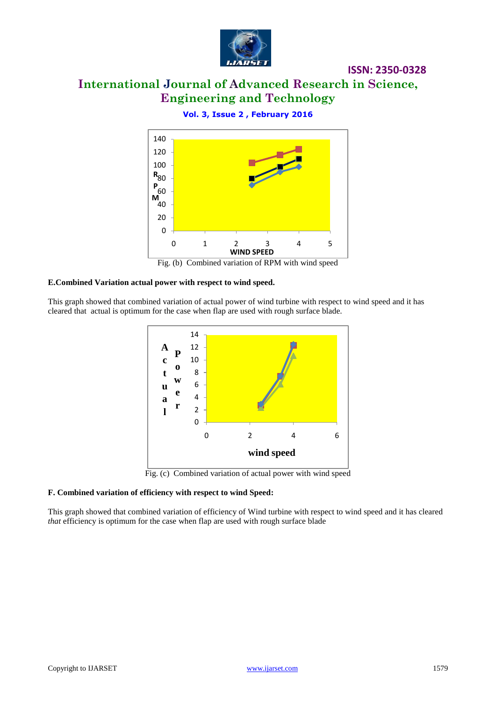

# **International Journal of Advanced Research in Science, Engineering and Technology**

## **Vol. 3, Issue 2 , February 2016**



Fig. (b) Combined variation of RPM with wind speed

#### **E.Combined Variation actual power with respect to wind speed.**

This graph showed that combined variation of actual power of wind turbine with respect to wind speed and it has cleared that actual is optimum for the case when flap are used with rough surface blade.



Fig. (c) Combined variation of actual power with wind speed

#### **F. Combined variation of efficiency with respect to wind Speed:**

This graph showed that combined variation of efficiency of Wind turbine with respect to wind speed and it has cleared *that* efficiency is optimum for the case when flap are used with rough surface blade